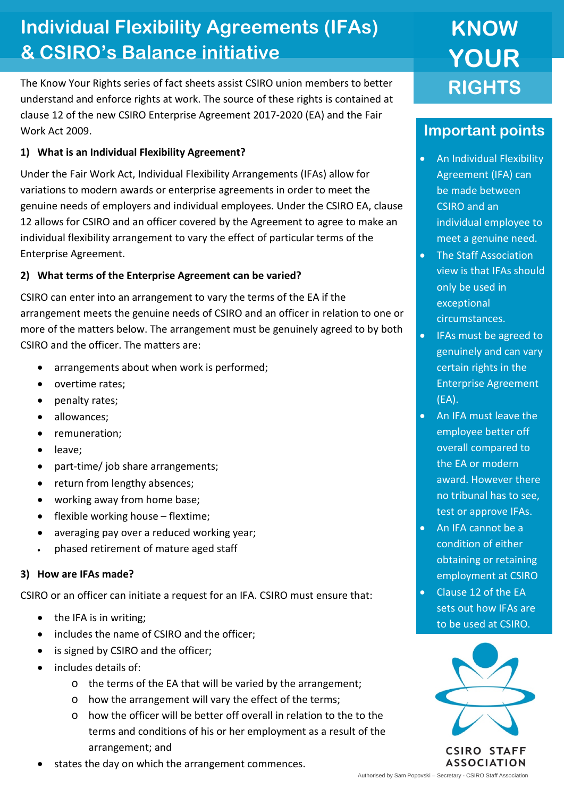## **Individual Flexibility Agreements (IFAs) & CSIRO's Balance initiative**

The Know Your Rights series of fact sheets assist CSIRO union members to better understand and enforce rights at work. The source of these rights is contained at clause 12 of the new CSIRO Enterprise Agreement 2017-2020 (EA) and the Fair Work Act 2009.

#### **1) What is an Individual Flexibility Agreement?**

Under the Fair Work Act, Individual Flexibility Arrangements (IFAs) allow for variations to modern awards or enterprise agreements in order to meet the genuine needs of employers and individual employees. Under the CSIRO EA, clause 12 allows for CSIRO and an officer covered by the Agreement to agree to make an individual flexibility arrangement to vary the effect of particular terms of the Enterprise Agreement.

#### **2) What terms of the Enterprise Agreement can be varied?**

CSIRO can enter into an arrangement to vary the terms of the EA if the arrangement meets the genuine needs of CSIRO and an officer in relation to one or more of the matters below. The arrangement must be genuinely agreed to by both CSIRO and the officer. The matters are:

- arrangements about when work is performed;
- overtime rates;
- penalty rates;
- allowances;
- remuneration;
- leave;
- part-time/ job share arrangements;
- return from lengthy absences;
- working away from home base;
- flexible working house flextime;
- averaging pay over a reduced working year;
- phased retirement of mature aged staff

#### **3) How are IFAs made?**

CSIRO or an officer can initiate a request for an IFA. CSIRO must ensure that:

- the IFA is in writing;
- includes the name of CSIRO and the officer;
- is signed by CSIRO and the officer:
- includes details of:
	- o the terms of the EA that will be varied by the arrangement;
	- o how the arrangement will vary the effect of the terms;
	- o how the officer will be better off overall in relation to the to the terms and conditions of his or her employment as a result of the arrangement; and
- states the day on which the arrangement commences.

# **KNOW YOUR RIGHTS**

### **Important points**

- An Individual Flexibility Agreement (IFA) can be made between CSIRO and an individual employee to meet a genuine need.
- The Staff Association view is that IFAs should only be used in exceptional circumstances.
- IFAs must be agreed to genuinely and can vary certain rights in the Enterprise Agreement (EA).
- An IFA must leave the employee better off overall compared to the EA or modern award. However there no tribunal has to see, test or approve IFAs.
- An IFA cannot be a condition of either obtaining or retaining employment at CSIRO
- Clause 12 of the EA sets out how IFAs are to be used at CSIRO.



**CSIRO STAFF ASSOCIATION**